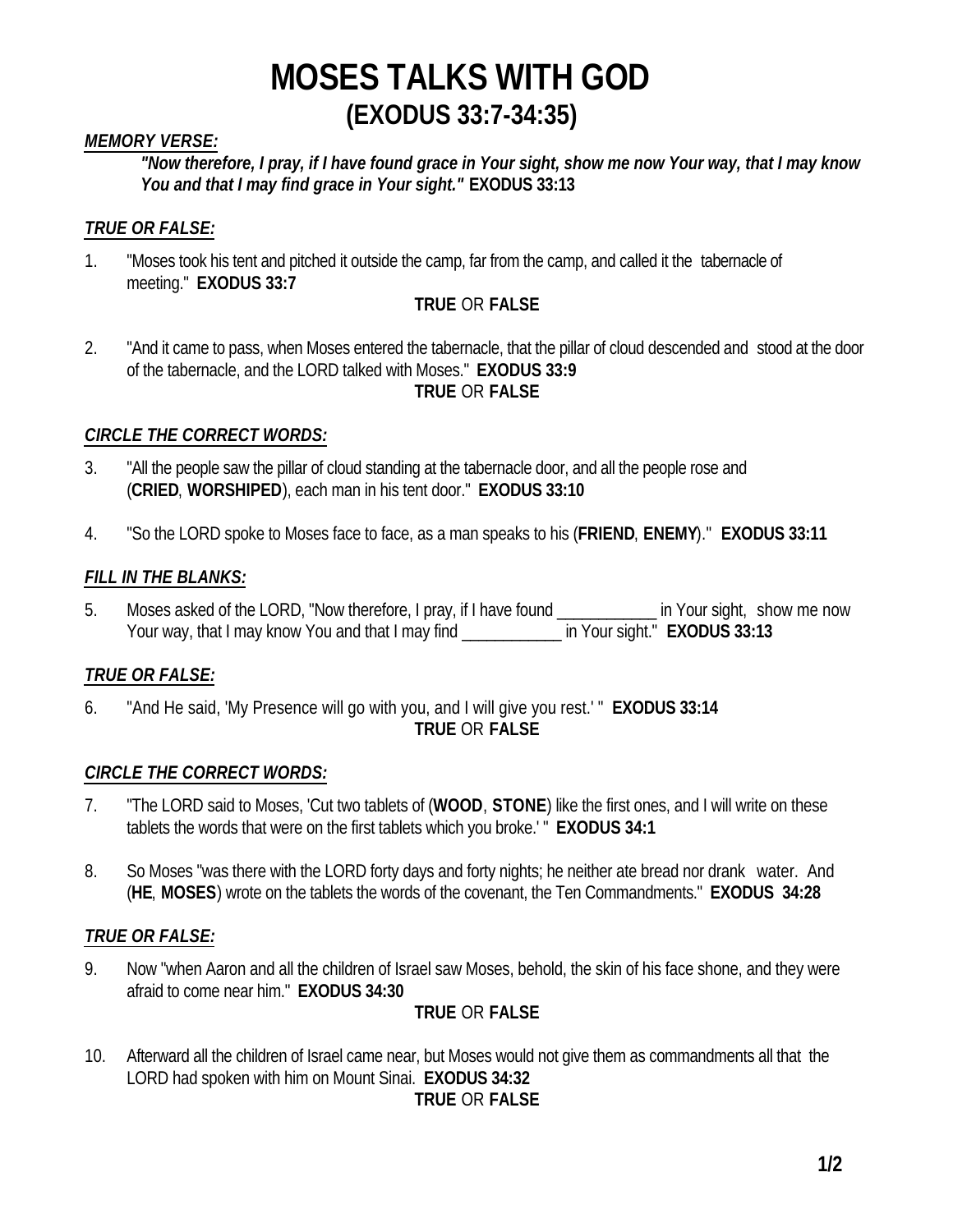## *MEMORY VERSE:*

*"Now therefore, I pray, if I have found grace in Your sight, show me now Your way, that I may know You and that I may find grace in Your sight."* **EXODUS 33:13**

## *TRUE OR FALSE:*

1. "Moses took his tent and pitched it outside the camp, far from the camp, and called it the tabernacle of meeting." **EXODUS 33:7**

## **TRUE** OR **FALSE**

2. "And it came to pass, when Moses entered the tabernacle, that the pillar of cloud descended and stood at the door of the tabernacle, and the LORD talked with Moses." **EXODUS 33:9 TRUE** OR **FALSE**

### *CIRCLE THE CORRECT WORDS:*

- 3. "All the people saw the pillar of cloud standing at the tabernacle door, and all the people rose and (**CRIED**, **WORSHIPED**), each man in his tent door." **EXODUS 33:10**
- 4. "So the LORD spoke to Moses face to face, as a man speaks to his (**FRIEND**, **ENEMY**)." **EXODUS 33:11**

### *FILL IN THE BLANKS:*

5. Moses asked of the LORD, "Now therefore, I pray, if I have found \_\_\_\_\_\_\_\_\_\_\_\_\_ in Your sight, show me now Your way, that I may know You and that I may find \_\_\_\_\_\_\_\_\_\_\_\_ in Your sight."**EXODUS 33:13**

## *TRUE OR FALSE:*

6. "And He said, 'My Presence will go with you, and I will give you rest.' " **EXODUS 33:14 TRUE** OR **FALSE**

### *CIRCLE THE CORRECT WORDS:*

- 7. "The LORD said to Moses, 'Cut two tablets of (**WOOD**, **STONE**) like the first ones, and I will write on these tablets the words that were on the first tablets which you broke.' " **EXODUS 34:1**
- 8. So Moses "was there with the LORD forty days and forty nights; he neither ate bread nor drank water. And (**HE**, **MOSES**) wrote on the tablets the words of the covenant, the Ten Commandments." **EXODUS 34:28**

### *TRUE OR FALSE:*

9. Now "when Aaron and all the children of Israel saw Moses, behold, the skin of his face shone, and they were afraid to come near him." **EXODUS 34:30**

### **TRUE** OR **FALSE**

10. Afterward all the children of Israel came near, but Moses would not give them as commandments all that the LORD had spoken with him on Mount Sinai. **EXODUS 34:32 TRUE** OR **FALSE**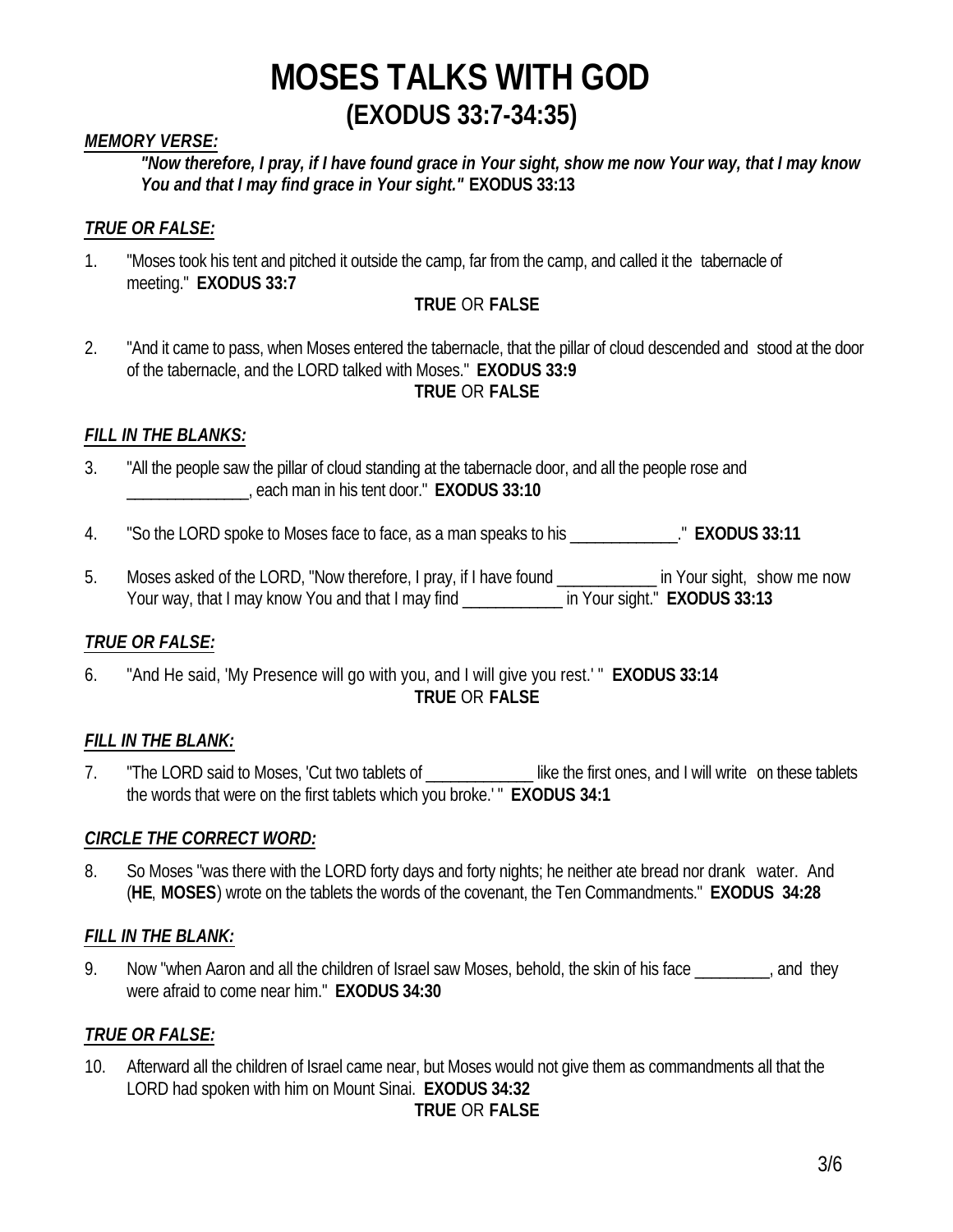## *MEMORY VERSE:*

*"Now therefore, I pray, if I have found grace in Your sight, show me now Your way, that I may know You and that I may find grace in Your sight."* **EXODUS 33:13**

## *TRUE OR FALSE:*

1. "Moses took his tent and pitched it outside the camp, far from the camp, and called it the tabernacle of meeting." **EXODUS 33:7**

## **TRUE** OR **FALSE**

2. "And it came to pass, when Moses entered the tabernacle, that the pillar of cloud descended and stood at the door of the tabernacle, and the LORD talked with Moses." **EXODUS 33:9 TRUE** OR **FALSE**

### *FILL IN THE BLANKS:*

- 3. "All the people saw the pillar of cloud standing at the tabernacle door, and all the people rose and \_\_\_\_\_\_\_\_\_\_\_\_\_\_\_, each man in his tent door." **EXODUS 33:10**
- 4. "So the LORD spoke to Moses face to face, as a man speaks to his \_\_\_\_\_\_\_\_\_\_\_\_\_." **EXODUS 33:11**
- 5. Moses asked of the LORD, "Now therefore, I pray, if I have found \_\_\_\_\_\_\_\_\_\_\_\_\_ in Your sight, show me now Your way, that I may know You and that I may find \_\_\_\_\_\_\_\_\_\_\_\_\_\_ in Your sight." **EXODUS 33:13**

### *TRUE OR FALSE:*

6. "And He said, 'My Presence will go with you, and I will give you rest.' " **EXODUS 33:14 TRUE** OR **FALSE**

### *FILL IN THE BLANK:*

7. "The LORD said to Moses, 'Cut two tablets of **The Container in the first ones**, and I will write on these tablets the words that were on the first tablets which you broke.' " **EXODUS 34:1**

### *CIRCLE THE CORRECT WORD:*

8. So Moses "was there with the LORD forty days and forty nights; he neither ate bread nor drank water. And (**HE**, **MOSES**) wrote on the tablets the words of the covenant, the Ten Commandments." **EXODUS 34:28**

### *FILL IN THE BLANK:*

9. Now "when Aaron and all the children of Israel saw Moses, behold, the skin of his face and they were afraid to come near him." **EXODUS 34:30**

## *TRUE OR FALSE:*

10. Afterward all the children of Israel came near, but Moses would not give them as commandments all that the LORD had spoken with him on Mount Sinai. **EXODUS 34:32 TRUE** OR **FALSE**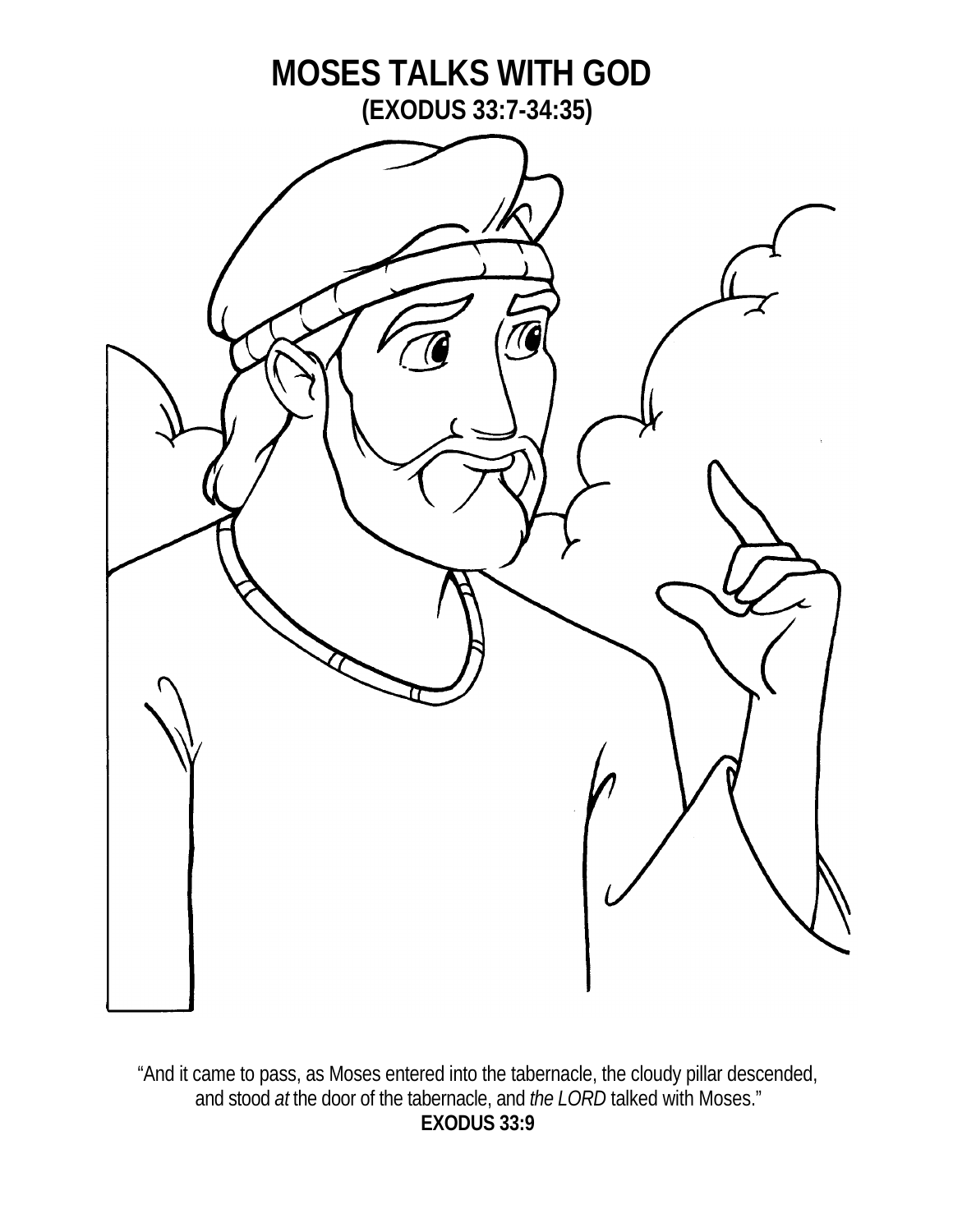

"And it came to pass, as Moses entered into the tabernacle, the cloudy pillar descended, and stood *at* the door of the tabernacle, and *the LORD* talked with Moses." **EXODUS 33:9**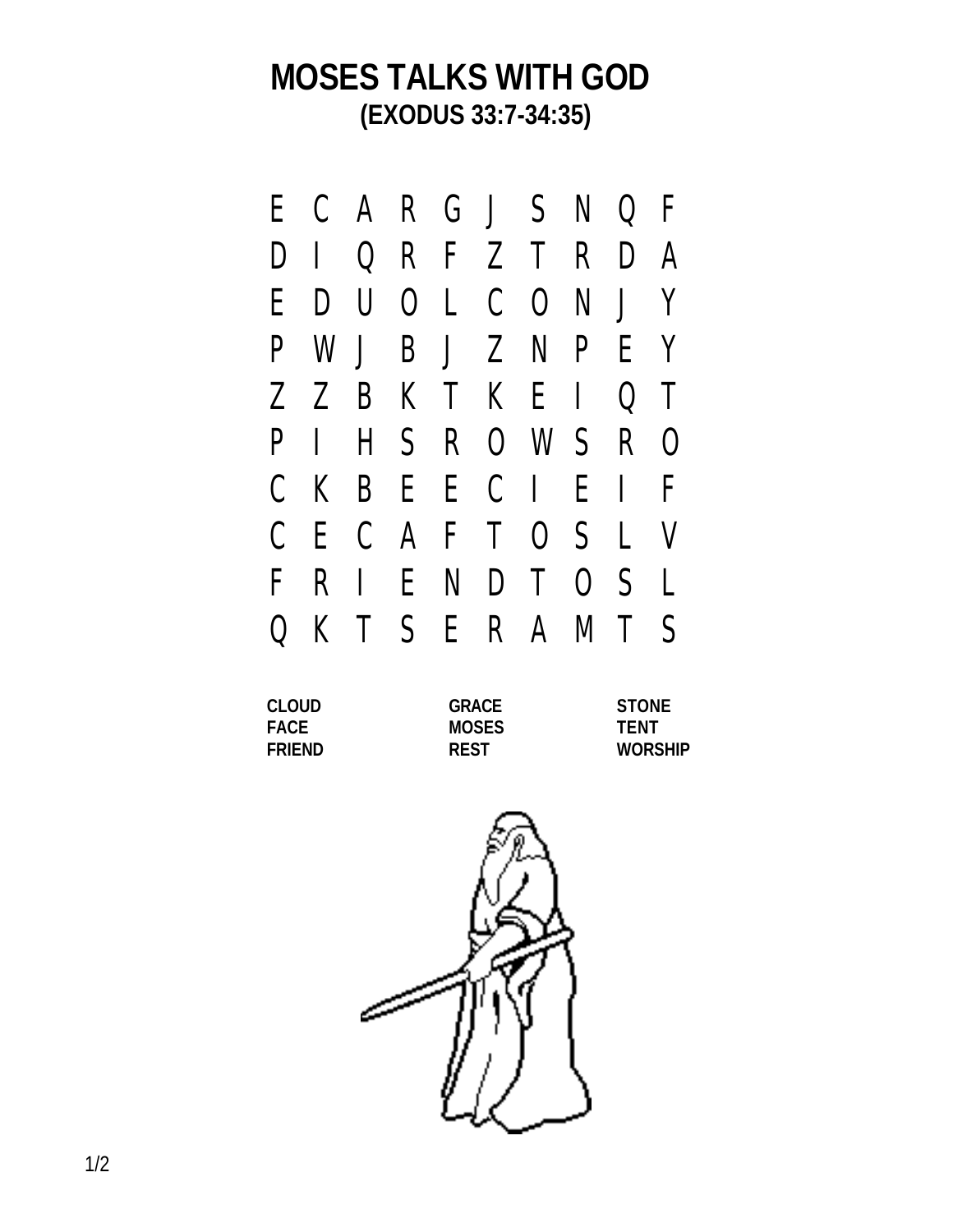|              |     |     |  | ECARGJSNQF          |  |  |
|--------------|-----|-----|--|---------------------|--|--|
|              |     |     |  | DIQRFZTRDA          |  |  |
|              |     |     |  | EDUOLCONJY          |  |  |
|              |     |     |  | P W J B J Z N P E Y |  |  |
|              |     |     |  | Z Z B K T K E I Q T |  |  |
|              | P I |     |  | H S R O W S R O     |  |  |
|              |     |     |  | CKBEECIEIF          |  |  |
|              |     |     |  | C E C A F T O S L V |  |  |
| $\mathbf{F}$ |     | R I |  | ENDTOSL             |  |  |
| $\bf{Q}$     |     |     |  | KTSERAMTS           |  |  |
|              |     |     |  |                     |  |  |

| CLOUD       | <b>GRACE</b> | <b>STONE</b>   |
|-------------|--------------|----------------|
| <b>FACE</b> | <b>MOSES</b> | <b>TFNT</b>    |
| FRIEND      | <b>REST</b>  | <b>WORSHIP</b> |

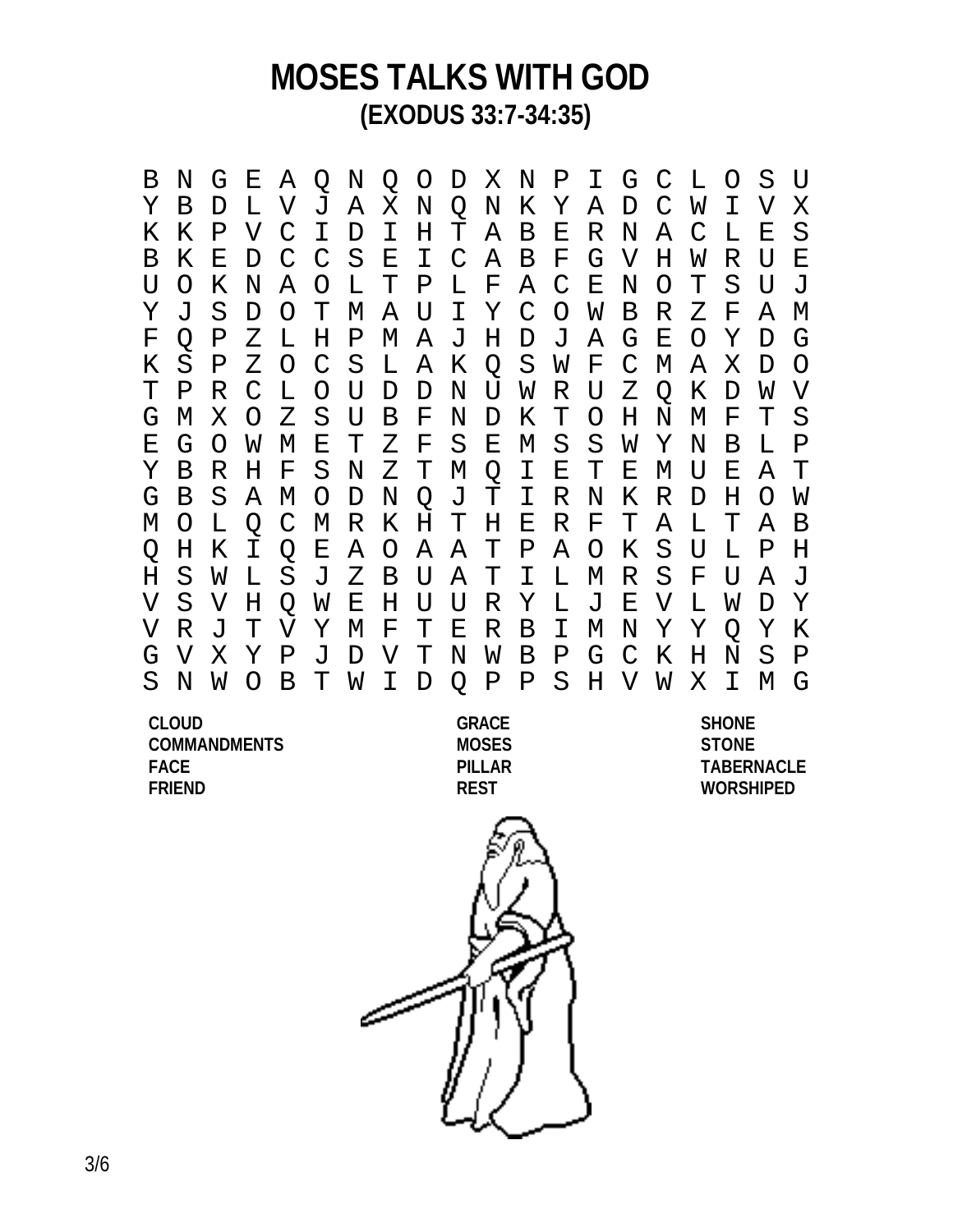B N G E A Q N Q O D X N P I G C L O S U Y B D L V J A X N Q N K Y A D C W I V X K K P V C I D I H T A B E R N A C L E S B K E D C C S E I C A B F G V H W R U E U O K N A O L T P L F A C E N O T S U J Y J S D O T M A U I Y C O W B R Z F A M F Q P Z L H P M A J H D J A G E O Y D G K S P Z O C S L A K Q S W F C M A X D O T P R C L O U D D N U W R U Z Q K D W V G M X O Z S U B F N D K T O H N M F T S E G O W M E T Z F S E M S S W Y N B L P Y B R H F S N Z T M Q I E T E M U E A T G B S A M O D N Q J T I R N K R D H O W M O L Q C M R K H T H E R F T A L T A B Q H K I Q E A O A A T P A O K S U L P H H S W L S J Z B U A T I L M R S F U A J V S V H Q W E H U U R Y L J E V L W D Y V R J T V Y M F T E R B I M N Y Y Q Y K G V X Y P J D V T N W B P G C K H N S P S N W O B T W I D Q P P S H V W X I M G

**CLOUD GRACE SHONE COMMANDMENTS MOSES STONE FACE PILLAR TABERNACLE FRIEND REST WORSHIPED**